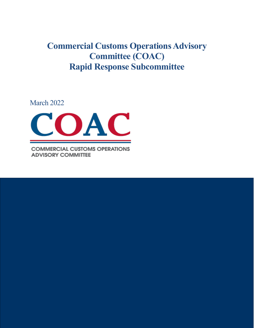**Commercial Customs Operations Advisory Committee (COAC) Rapid Response Subcommittee**

March 2022



**COMMERCIAL CUSTOMS OPERATIONS ADVISORY COMMITTEE**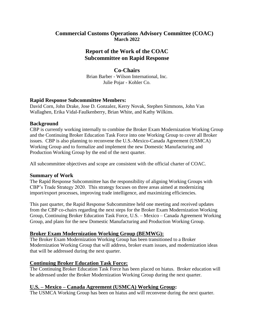### **Commercial Customs Operations Advisory Committee (COAC) March 2022**

# **Report of the Work of the COAC Subcommittee on Rapid Response**

#### **Co-Chairs**

Brian Barber - Wilson International, Inc. Julie Pojar - Kohler Co.

### **Rapid Response Subcommittee Members:**

David Corn, John Drake, Jose D. Gonzalez, Kerry Novak, Stephen Simmons, John Van Wallaghen, Erika Vidal-Faulkenberry, Brian White, and Kathy Wilkins.

### **Background**

CBP is currently working internally to combine the Broker Exam Modernization Working Group and the Continuing Broker Education Task Force into one Working Group to cover all Broker issues. CBP is also planning to reconvene the U.S.-Mexico-Canada Agreement (USMCA) Working Group and to formalize and implement the new Domestic Manufacturing and Production Working Group by the end of the next quarter.

All subcommittee objectives and scope are consistent with the official charter of COAC.

### **Summary of Work**

The Rapid Response Subcommittee has the responsibility of aligning Working Groups with CBP's Trade Strategy 2020. This strategy focuses on three areas aimed at modernizing import/export processes, improving trade intelligence, and maximizing efficiencies.

This past quarter, the Rapid Response Subcommittee held one meeting and received updates from the CBP co-chairs regarding the next steps for the Broker Exam Modernization Working Group, Continuing Broker Education Task Force, U.S. – Mexico – Canada Agreement Working Group, and plans for the new Domestic Manufacturing and Production Working Group.

## **Broker Exam Modernization Working Group (BEMWG):**

The Broker Exam Modernization Working Group has been transitioned to a Broker Modernization Working Group that will address, broker exam issues, and modernization ideas that will be addressed during the next quarter.

## **Continuing Broker Education Task Force:**

The Continuing Broker Education Task Force has been placed on hiatus. Broker education will be addressed under the Broker Modernization Working Group during the next quarter.

## **U.S. – Mexico – Canada Agreement (USMCA) Working Group:**

The USMCA Working Group has been on hiatus and will reconvene during the next quarter.